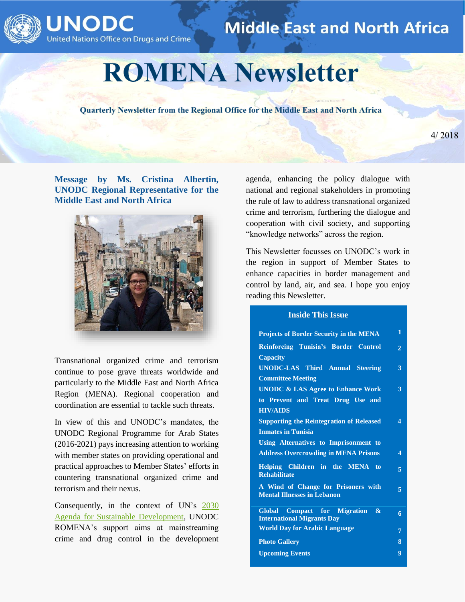



# **Middle East and North Africa**

# **ROMENA Newsletter**

Quarterly Newsletter from the Regional Office for the Middle East and North Africa

 $4/2018$ 

**Message by Ms. Cristina Albertin, UNODC Regional Representative for the Middle East and North Africa**



Transnational organized crime and terrorism continue to pose grave threats worldwide and particularly to the Middle East and North Africa Region (MENA). Regional cooperation and coordination are essential to tackle such threats.

In view of this and UNODC's mandates, the UNODC Regional Programme for Arab States (2016-2021) pays increasing attention to working with member states on providing operational and practical approaches to Member States' efforts in countering transnational organized crime and terrorism and their nexus.

Consequently, in the context of UN's [2030](https://sustainabledevelopment.un.org/post2015/transformingourworld)  [Agenda for Sustainable Development,](https://sustainabledevelopment.un.org/post2015/transformingourworld) UNODC ROMENA's support aims at mainstreaming crime and drug control in the development

agenda, enhancing the policy dialogue with national and regional stakeholders in promoting the rule of law to address transnational organized crime and terrorism, furthering the dialogue and cooperation with civil society, and supporting "knowledge networks" across the region.

This Newsletter focusses on UNODC's work in the region in support of Member States to enhance capacities in border management and control by land, air, and sea. I hope you enjoy reading this Newsletter.

#### **Inside This Issue**

| <b>Projects of Border Security in the MENA</b>                                     | 1                        |
|------------------------------------------------------------------------------------|--------------------------|
| Reinforcing Tunisia's Border Control                                               | $\overline{2}$           |
| <b>Capacity</b>                                                                    |                          |
| <b>UNODC-LAS Third Annual Steering</b>                                             | 3                        |
| <b>Committee Meeting</b>                                                           |                          |
| <b>UNODC &amp; LAS Agree to Enhance Work</b>                                       | 3                        |
| to Prevent and Treat Drug Use and                                                  |                          |
| <b>HIV/AIDS</b>                                                                    |                          |
| <b>Supporting the Reintegration of Released</b>                                    | $\boldsymbol{\varDelta}$ |
| <b>Inmates in Tunisia</b>                                                          |                          |
| Using Alternatives to Imprisonment to                                              |                          |
| <b>Address Overcrowding in MENA Prisons</b>                                        | 4                        |
| Helping Children in the MENA to<br><b>Rehabilitate</b>                             | $\overline{5}$           |
| A Wind of Change for Prisoners with<br><b>Mental Illnesses in Lebanon</b>          | 5                        |
| Global Compact for Migration<br>$\mathbf{\&}$<br><b>International Migrants Day</b> | 6                        |
| <b>World Day for Arabic Language</b>                                               | 7                        |
| <b>Photo Gallery</b>                                                               | 8                        |
|                                                                                    |                          |
| <b>Upcoming Events</b>                                                             | 9                        |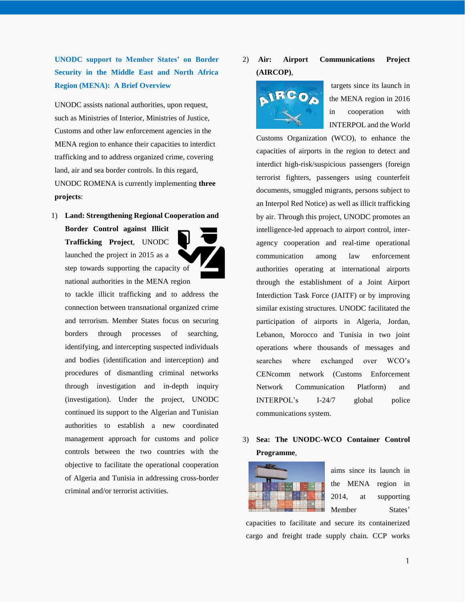**UNODC support to Member States' on Border Security in the Middle East and North Africa Region (MENA): A Brief Overview**

UNODC assists national authorities, upon request, such as Ministries of Interior, Ministries of Justice, Customs and other law enforcement agencies in the MENA region to enhance their capacities to interdict trafficking and to address organized crime, covering land, air and sea border controls. In this regard, UNODC ROMENA is currently implementing **three projects**:

1) **Land: Strengthening Regional Cooperation and** 

**Border Control against Illicit Trafficking Project**, UNODC launched the project in 2015 as a step towards supporting the capacity of national authorities in the MENA region

to tackle illicit trafficking and to address the connection between transnational organized crime and terrorism. Member States focus on securing borders through processes of searching, identifying, and intercepting suspected individuals and bodies (identification and interception) and procedures of dismantling criminal networks through investigation and in-depth inquiry (investigation). Under the project, UNODC continued its support to the Algerian and Tunisian authorities to establish a new coordinated management approach for customs and police controls between the two countries with the objective to facilitate the operational cooperation of Algeria and Tunisia in addressing cross-border criminal and/or terrorist activities.

# 2) **Air: Airport Communications Project (AIRCOP)**,



targets since its launch in the MENA region in 2016 in cooperation with INTERPOL and the World

Customs Organization (WCO), to enhance the capacities of airports in the region to detect and interdict high-risk/suspicious passengers (foreign terrorist fighters, passengers using counterfeit documents, smuggled migrants, persons subject to an Interpol Red Notice) as well as illicit trafficking by air. Through this project, UNODC promotes an intelligence-led approach to airport control, interagency cooperation and real-time operational communication among law enforcement authorities operating at international airports through the establishment of a Joint Airport Interdiction Task Force (JAITF) or by improving similar existing structures. UNODC facilitated the participation of airports in Algeria, Jordan, Lebanon, Morocco and Tunisia in two joint operations where thousands of messages and searches where exchanged over WCO's CENcomm network (Customs Enforcement Network Communication Platform) and INTERPOL's I-24/7 global police communications system.

## 3) **Sea: The UNODC-WCO Container Control Programme**,



aims since its launch in the MENA region in 2014, at supporting Member States'

capacities to facilitate and secure its containerized cargo and freight trade supply chain. CCP works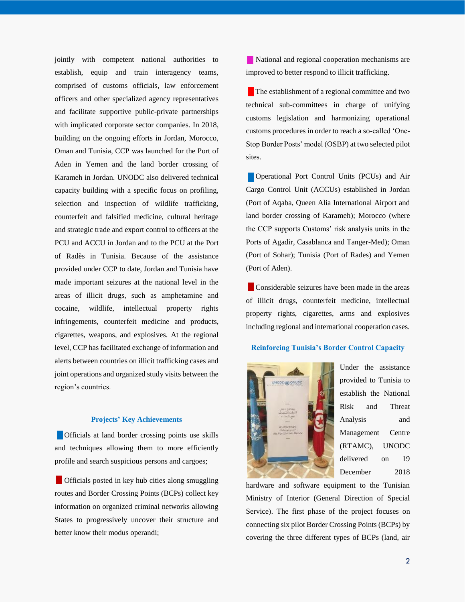jointly with competent national authorities to establish, equip and train interagency teams, comprised of customs officials, law enforcement officers and other specialized agency representatives and facilitate supportive public-private partnerships with implicated corporate sector companies. In 2018, building on the ongoing efforts in Jordan, Morocco, Oman and Tunisia, CCP was launched for the Port of Aden in Yemen and the land border crossing of Karameh in Jordan. UNODC also delivered technical capacity building with a specific focus on profiling, selection and inspection of wildlife trafficking, counterfeit and falsified medicine, cultural heritage and strategic trade and export control to officers at the PCU and ACCU in Jordan and to the PCU at the Port of Radès in Tunisia. Because of the assistance provided under CCP to date, Jordan and Tunisia have made important seizures at the national level in the areas of illicit drugs, such as amphetamine and cocaine, wildlife, intellectual property rights infringements, counterfeit medicine and products, cigarettes, weapons, and explosives. At the regional level, CCP has facilitated exchange of information and alerts between countries on illicit trafficking cases and joint operations and organized study visits between the region's countries.

#### **Projects' Key Achievements**

 Officials at land border crossing points use skills and techniques allowing them to more efficiently profile and search suspicious persons and cargoes;

**Officials posted in key hub cities along smuggling** routes and Border Crossing Points (BCPs) collect key information on organized criminal networks allowing States to progressively uncover their structure and better know their modus operandi;

 National and regional cooperation mechanisms are improved to better respond to illicit trafficking.

The establishment of a regional committee and two technical sub-committees in charge of unifying customs legislation and harmonizing operational customs procedures in order to reach a so-called 'One-Stop Border Posts' model (OSBP) at two selected pilot sites.

 Operational Port Control Units (PCUs) and Air Cargo Control Unit (ACCUs) established in Jordan (Port of Aqaba, Queen Alia International Airport and land border crossing of Karameh); Morocco (where the CCP supports Customs' risk analysis units in the Ports of Agadir, Casablanca and Tanger-Med); Oman (Port of Sohar); Tunisia (Port of Rades) and Yemen (Port of Aden).

 Considerable seizures have been made in the areas of illicit drugs, counterfeit medicine, intellectual property rights, cigarettes, arms and explosives including regional and international cooperation cases.

#### **Reinforcing Tunisia's Border Control Capacity**



Under the assistance provided to Tunisia to establish the National Risk and Threat Analysis and Management Centre (RTAMC), UNODC delivered on 19 December 2018

hardware and software equipment to the Tunisian Ministry of Interior (General Direction of Special Service). The first phase of the project focuses on connecting six pilot Border Crossing Points (BCPs) by covering the three different types of BCPs (land, air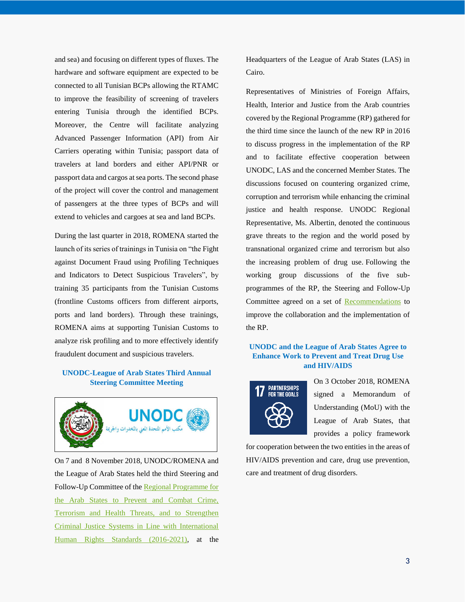and sea) and focusing on different types of fluxes. The hardware and software equipment are expected to be connected to all Tunisian BCPs allowing the RTAMC to improve the feasibility of screening of travelers entering Tunisia through the identified BCPs. Moreover, the Centre will facilitate analyzing Advanced Passenger Information (API) from Air Carriers operating within Tunisia; passport data of travelers at land borders and either API/PNR or passport data and cargos at sea ports. The second phase of the project will cover the control and management of passengers at the three types of BCPs and will extend to vehicles and cargoes at sea and land BCPs.

During the last quarter in 2018, ROMENA started the launch of its series of trainings in Tunisia on "the Fight against Document Fraud using Profiling Techniques and Indicators to Detect Suspicious Travelers", by training 35 participants from the Tunisian Customs (frontline Customs officers from different airports, ports and land borders). Through these trainings, ROMENA aims at supporting Tunisian Customs to analyze risk profiling and to more effectively identify fraudulent document and suspicious travelers.

#### **UNODC-League of Arab States Third Annual Steering Committee Meeting**



On 7 and 8 November 2018, UNODC/ROMENA and the League of Arab States held the third Steering and Follow-Up Committee of th[e Regional Programme for](https://www.unodc.org/documents/middleeastandnorthafrica/Steering_Committee_LAS_2018/Annual_Report_2018-ENG-FINAL-06112018_pdf.pdf)  [the Arab States to Prevent and Combat Crime,](https://www.unodc.org/documents/middleeastandnorthafrica/Steering_Committee_LAS_2018/Annual_Report_2018-ENG-FINAL-06112018_pdf.pdf)  [Terrorism and Health Threats, and to Strengthen](https://www.unodc.org/documents/middleeastandnorthafrica/Steering_Committee_LAS_2018/Annual_Report_2018-ENG-FINAL-06112018_pdf.pdf)  [Criminal Justice Systems in Line with International](https://www.unodc.org/documents/middleeastandnorthafrica/Steering_Committee_LAS_2018/Annual_Report_2018-ENG-FINAL-06112018_pdf.pdf)  [Human Rights Standards \(2016-2021\),](https://www.unodc.org/documents/middleeastandnorthafrica/Steering_Committee_LAS_2018/Annual_Report_2018-ENG-FINAL-06112018_pdf.pdf) at the

Headquarters of the League of Arab States (LAS) in Cairo.

Representatives of Ministries of Foreign Affairs, Health, Interior and Justice from the Arab countries covered by the Regional Programme (RP) gathered for the third time since the launch of the new RP in 2016 to discuss progress in the implementation of the RP and to facilitate effective cooperation between UNODC, LAS and the concerned Member States. The discussions focused on countering organized crime, corruption and terrorism while enhancing the criminal justice and health response. UNODC Regional Representative, Ms. Albertin, denoted the continuous grave threats to the region and the world posed by transnational organized crime and terrorism but also the increasing problem of drug use. Following the working group discussions of the five subprogrammes of the RP, the Steering and Follow-Up Committee agreed on a set of [Recommendations](https://www.unodc.org/documents/middleeastandnorthafrica/Steering_Committee_LAS_2018/Final_SC_Recommendations_English_2018_pdf.pdf) to improve the collaboration and the implementation of the RP.

#### **UNODC and the League of Arab States Agree to Enhance Work to Prevent and Treat Drug Use and HIV/AIDS**



On 3 October 2018, ROMENA signed a Memorandum of Understanding (MoU) with the League of Arab States, that provides a policy framework

for cooperation between the two entities in the areas of HIV/AIDS prevention and care, drug use prevention, care and treatment of drug disorders.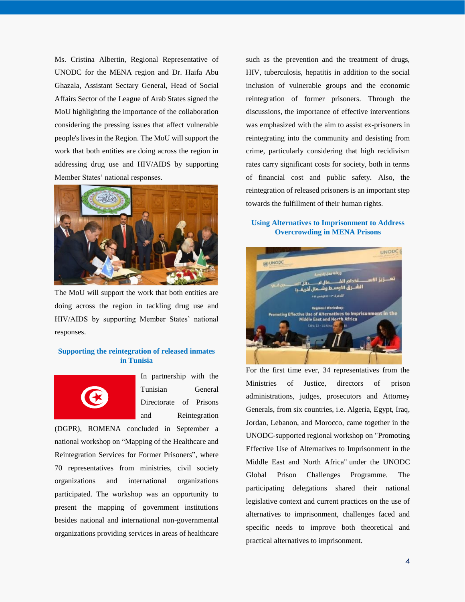Ms. Cristina Albertin, Regional Representative of UNODC for the MENA region and Dr. Haifa Abu Ghazala, Assistant Sectary General, Head of Social Affairs Sector of the League of Arab States signed the MoU highlighting the importance of the collaboration considering the pressing issues that affect vulnerable people's lives in the Region. The MoU will support the work that both entities are doing across the region in addressing drug use and HIV/AIDS by supporting Member States' national responses.



The MoU will support the work that both entities are doing across the region in tackling drug use and HIV/AIDS by supporting Member States' national responses.

#### **Supporting the reintegration of released inmates in Tunisia**



In partnership with the Tunisian General Directorate of Prisons and Reintegration

(DGPR), ROMENA concluded in September a national workshop on "Mapping of the Healthcare and Reintegration Services for Former Prisoners", where 70 representatives from ministries, civil society organizations and international organizations participated. The workshop was an opportunity to present the mapping of government institutions besides national and international non-governmental organizations providing services in areas of healthcare

such as the prevention and the treatment of drugs, HIV, tuberculosis, hepatitis in addition to the social inclusion of vulnerable groups and the economic reintegration of former prisoners. Through the discussions, the importance of effective interventions was emphasized with the aim to assist ex-prisoners in reintegrating into the community and desisting from crime, particularly considering that high recidivism rates carry significant costs for society, both in terms of financial cost and public safety. Also, the reintegration of released prisoners is an important step towards the fulfillment of their human rights.

#### **Using Alternatives to Imprisonment to Address Overcrowding in MENA Prisons**



For the first time ever, 34 representatives from the Ministries of Justice, directors of prison administrations, judges, prosecutors and Attorney Generals, from six countries, i.e. Algeria, Egypt, Iraq, Jordan, Lebanon, and Morocco, came together in the UNODC-supported regional workshop on "Promoting Effective Use of Alternatives to Imprisonment in the Middle East and North Africa" under the UNODC Global Prison Challenges Programme. The participating delegations shared their national legislative context and current practices on the use of alternatives to imprisonment, challenges faced and specific needs to improve both theoretical and practical alternatives to imprisonment.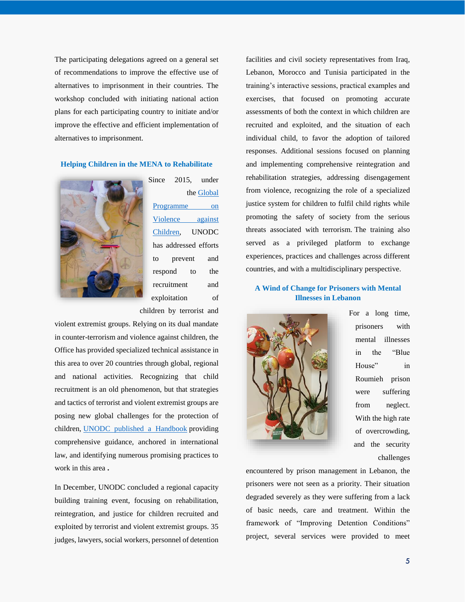The participating delegations agreed on a general set of recommendations to improve the effective use of alternatives to imprisonment in their countries. The workshop concluded with initiating national action plans for each participating country to initiate and/or improve the effective and efficient implementation of alternatives to imprisonment.

#### **Helping Children in the MENA to Rehabilitate**



Since 2015, under the [Global](https://www.unodc.org/unodc/en/frontpage/2014/November/unodc-presents-legal-tool-to-reduce-violence-against-children.html)  [Programme on](https://www.unodc.org/unodc/en/frontpage/2014/November/unodc-presents-legal-tool-to-reduce-violence-against-children.html)  [Violence against](https://www.unodc.org/unodc/en/frontpage/2014/November/unodc-presents-legal-tool-to-reduce-violence-against-children.html)  [Children,](https://www.unodc.org/unodc/en/frontpage/2014/November/unodc-presents-legal-tool-to-reduce-violence-against-children.html) UNODC has addressed efforts to prevent and respond to the recruitment and exploitation of children by terrorist and

violent extremist groups. Relying on its dual mandate in counter-terrorism and violence against children, the Office has provided specialized technical assistance in this area to over 20 countries through global, regional and national activities. Recognizing that child recruitment is an old phenomenon, but that strategies and tactics of terrorist and violent extremist groups are posing new global challenges for the protection of children, [UNODC published a Handbook](https://www.unodc.org/documents/justice-and-prison-reform/Child-Victims/Handbook_on_Children_Recruited_and_Exploited_by_Terrorist_and_Violent_Extremist_Groups_the_Role_of_the_Justice_System.E.pdf) providing comprehensive guidance, anchored in international law, and identifying numerous promising practices to work in this area **.**

In December, UNODC concluded a regional capacity building training event, focusing on rehabilitation, reintegration, and justice for children recruited and exploited by terrorist and violent extremist groups. 35 judges, lawyers, social workers, personnel of detention

facilities and civil society representatives from Iraq, Lebanon, Morocco and Tunisia participated in the training's interactive sessions, practical examples and exercises, that focused on promoting accurate assessments of both the context in which children are recruited and exploited, and the situation of each individual child, to favor the adoption of tailored responses. Additional sessions focused on planning and implementing comprehensive reintegration and rehabilitation strategies, addressing disengagement from violence, recognizing the role of a specialized justice system for children to fulfil child rights while promoting the safety of society from the serious threats associated with terrorism. The training also served as a privileged platform to exchange experiences, practices and challenges across different countries, and with a multidisciplinary perspective.

#### **A Wind of Change for Prisoners with Mental Illnesses in Lebanon**



For a long time, prisoners with mental illnesses in the "Blue House" in Roumieh prison were suffering from neglect. With the high rate of overcrowding, and the security challenges

encountered by prison management in Lebanon, the prisoners were not seen as a priority. Their situation degraded severely as they were suffering from a lack of basic needs, care and treatment. Within the framework of "Improving Detention Conditions" project, several services were provided to meet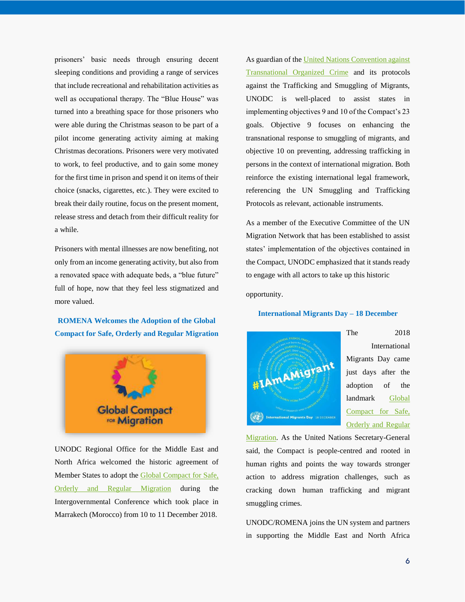prisoners' basic needs through ensuring decent sleeping conditions and providing a range of services that include recreational and rehabilitation activities as well as occupational therapy. The "Blue House" was turned into a breathing space for those prisoners who were able during the Christmas season to be part of a pilot income generating activity aiming at making Christmas decorations. Prisoners were very motivated to work, to feel productive, and to gain some money for the first time in prison and spend it on items of their choice (snacks, cigarettes, etc.). They were excited to break their daily routine, focus on the present moment, release stress and detach from their difficult reality for a while.

Prisoners with mental illnesses are now benefiting, not only from an income generating activity, but also from a renovated space with adequate beds, a "blue future" full of hope, now that they feel less stigmatized and more valued.

**ROMENA Welcomes the Adoption of the Global Compact for Safe, Orderly and Regular Migration**



UNODC Regional Office for the Middle East and North Africa welcomed the historic agreement of Member States to adopt the [Global Compact for Safe,](https://refugeesmigrants.un.org/sites/default/files/180713_agreed_outcome_global_compact_for_migration.pdf)  [Orderly and Regular Migration](https://refugeesmigrants.un.org/sites/default/files/180713_agreed_outcome_global_compact_for_migration.pdf) during the Intergovernmental Conference which took place in Marrakech (Morocco) from 10 to 11 December 2018.

As guardian of the United Nations Convention against [Transnational Organized Crime](https://www.unodc.org/unodc/en/organized-crime/intro/UNTOC.html) and its protocols against the Trafficking and Smuggling of Migrants, UNODC is well-placed to assist states in implementing objectives 9 and 10 of the Compact's 23 goals. Objective 9 focuses on enhancing the transnational response to smuggling of migrants, and objective 10 on preventing, addressing trafficking in persons in the context of international migration. Both reinforce the existing international legal framework, referencing the UN Smuggling and Trafficking Protocols as relevant, actionable instruments.

As a member of the Executive Committee of the UN Migration Network that has been established to assist states' implementation of the objectives contained in the Compact, UNODC emphasized that it stands ready to engage with all actors to take up this historic

opportunity.

**International Migrants Day – 18 December**



The 2018 International Migrants Day came just days after the adoption of the landmark [Global](https://refugeesmigrants.un.org/sites/default/files/180713_agreed_outcome_global_compact_for_migration.pdf)  [Compact for Safe,](https://refugeesmigrants.un.org/sites/default/files/180713_agreed_outcome_global_compact_for_migration.pdf)  [Orderly and Regular](https://refugeesmigrants.un.org/sites/default/files/180713_agreed_outcome_global_compact_for_migration.pdf) 

[Migration.](https://refugeesmigrants.un.org/sites/default/files/180713_agreed_outcome_global_compact_for_migration.pdf) As the United Nations Secretary-General said, the Compact is people-centred and rooted in human rights and points the way towards stronger action to address migration challenges, such as cracking down human trafficking and migrant smuggling crimes.

UNODC/ROMENA joins the UN system and partners in supporting the Middle East and North Africa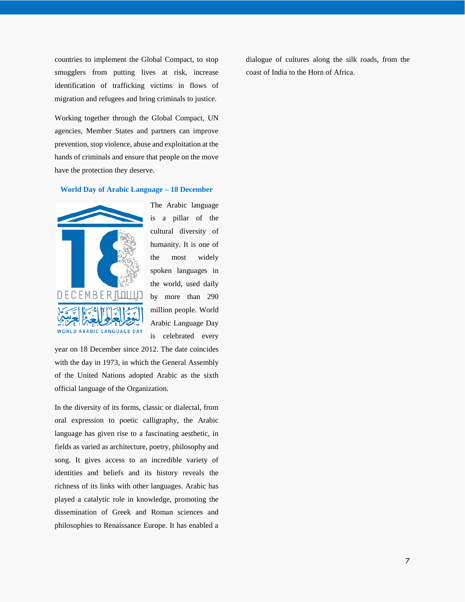countries to implement the Global Compact, to stop smugglers from putting lives at risk, increase identification of trafficking victims in flows of migration and refugees and bring criminals to justice.

Working together through the Global Compact, UN agencies, Member States and partners can improve prevention, stop violence, abuse and exploitation at the hands of criminals and ensure that people on the move have the protection they deserve.

#### **World Day of Arabic Language – 18 December**



The Arabic language is a pillar of the cultural diversity of humanity. It is one of the most widely spoken languages in the world, used daily by more than 290 million people. World Arabic Language Day is celebrated every

year on 18 December since 2012. The date coincides with the day in 1973, in which the General Assembly of the United Nations adopted Arabic as the sixth official language of the Organization.

In the diversity of its forms, classic or dialectal, from oral expression to poetic calligraphy, the Arabic language has given rise to a fascinating aesthetic, in fields as varied as architecture, poetry, philosophy and song. It gives access to an incredible variety of identities and beliefs and its history reveals the richness of its links with other languages. Arabic has played a catalytic role in knowledge, promoting the dissemination of Greek and Roman sciences and philosophies to Renaissance Europe. It has enabled a dialogue of cultures along the silk roads, from the coast of India to the Horn of Africa.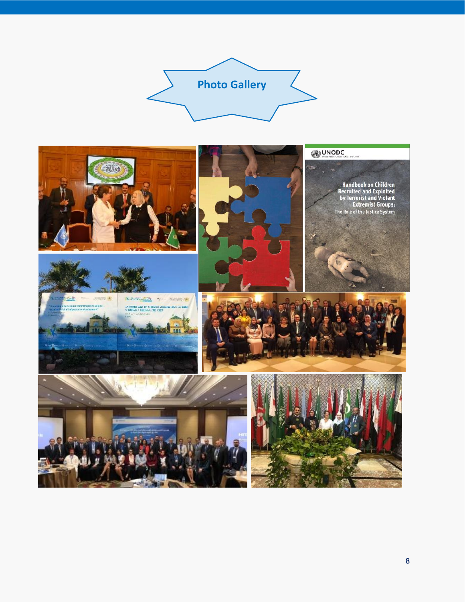